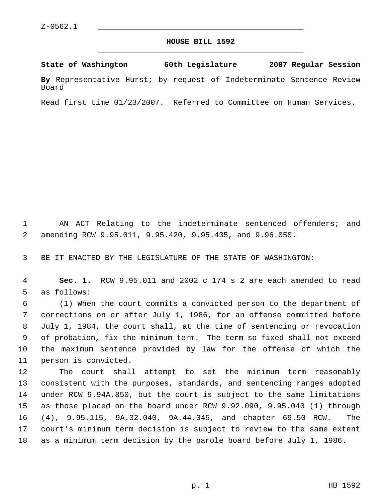## **HOUSE BILL 1592** \_\_\_\_\_\_\_\_\_\_\_\_\_\_\_\_\_\_\_\_\_\_\_\_\_\_\_\_\_\_\_\_\_\_\_\_\_\_\_\_\_\_\_\_\_

**State of Washington 60th Legislature 2007 Regular Session By** Representative Hurst; by request of Indeterminate Sentence Review Board

Read first time 01/23/2007. Referred to Committee on Human Services.

 AN ACT Relating to the indeterminate sentenced offenders; and amending RCW 9.95.011, 9.95.420, 9.95.435, and 9.96.050.

BE IT ENACTED BY THE LEGISLATURE OF THE STATE OF WASHINGTON:

 **Sec. 1.** RCW 9.95.011 and 2002 c 174 s 2 are each amended to read as follows:

 (1) When the court commits a convicted person to the department of corrections on or after July 1, 1986, for an offense committed before July 1, 1984, the court shall, at the time of sentencing or revocation of probation, fix the minimum term. The term so fixed shall not exceed the maximum sentence provided by law for the offense of which the person is convicted.

 The court shall attempt to set the minimum term reasonably consistent with the purposes, standards, and sentencing ranges adopted under RCW 9.94A.850, but the court is subject to the same limitations as those placed on the board under RCW 9.92.090, 9.95.040 (1) through (4), 9.95.115, 9A.32.040, 9A.44.045, and chapter 69.50 RCW. The court's minimum term decision is subject to review to the same extent as a minimum term decision by the parole board before July 1, 1986.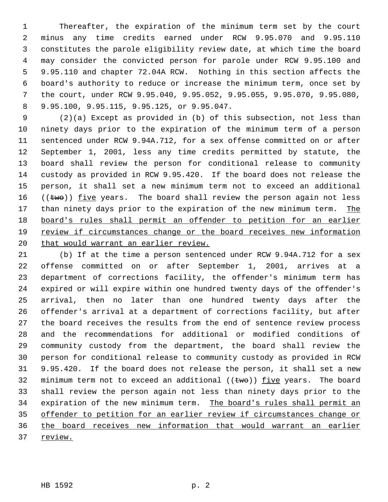Thereafter, the expiration of the minimum term set by the court minus any time credits earned under RCW 9.95.070 and 9.95.110 constitutes the parole eligibility review date, at which time the board may consider the convicted person for parole under RCW 9.95.100 and 9.95.110 and chapter 72.04A RCW. Nothing in this section affects the board's authority to reduce or increase the minimum term, once set by the court, under RCW 9.95.040, 9.95.052, 9.95.055, 9.95.070, 9.95.080, 9.95.100, 9.95.115, 9.95.125, or 9.95.047.

 (2)(a) Except as provided in (b) of this subsection, not less than ninety days prior to the expiration of the minimum term of a person sentenced under RCW 9.94A.712, for a sex offense committed on or after September 1, 2001, less any time credits permitted by statute, the board shall review the person for conditional release to community custody as provided in RCW 9.95.420. If the board does not release the person, it shall set a new minimum term not to exceed an additional  $((two))$  five years. The board shall review the person again not less 17 than ninety days prior to the expiration of the new minimum term. The board's rules shall permit an offender to petition for an earlier review if circumstances change or the board receives new information 20 that would warrant an earlier review.

 (b) If at the time a person sentenced under RCW 9.94A.712 for a sex offense committed on or after September 1, 2001, arrives at a department of corrections facility, the offender's minimum term has expired or will expire within one hundred twenty days of the offender's arrival, then no later than one hundred twenty days after the offender's arrival at a department of corrections facility, but after the board receives the results from the end of sentence review process and the recommendations for additional or modified conditions of community custody from the department, the board shall review the person for conditional release to community custody as provided in RCW 9.95.420. If the board does not release the person, it shall set a new 32 minimum term not to exceed an additional  $((\text{two}))$  five years. The board shall review the person again not less than ninety days prior to the 34 expiration of the new minimum term. The board's rules shall permit an offender to petition for an earlier review if circumstances change or the board receives new information that would warrant an earlier review.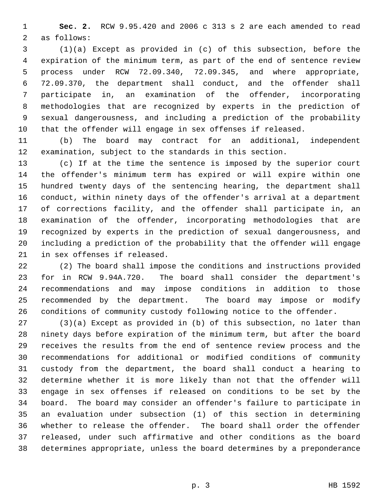**Sec. 2.** RCW 9.95.420 and 2006 c 313 s 2 are each amended to read as follows:

 (1)(a) Except as provided in (c) of this subsection, before the expiration of the minimum term, as part of the end of sentence review process under RCW 72.09.340, 72.09.345, and where appropriate, 72.09.370, the department shall conduct, and the offender shall participate in, an examination of the offender, incorporating methodologies that are recognized by experts in the prediction of sexual dangerousness, and including a prediction of the probability that the offender will engage in sex offenses if released.

 (b) The board may contract for an additional, independent examination, subject to the standards in this section.

 (c) If at the time the sentence is imposed by the superior court the offender's minimum term has expired or will expire within one hundred twenty days of the sentencing hearing, the department shall conduct, within ninety days of the offender's arrival at a department of corrections facility, and the offender shall participate in, an examination of the offender, incorporating methodologies that are recognized by experts in the prediction of sexual dangerousness, and including a prediction of the probability that the offender will engage in sex offenses if released.

 (2) The board shall impose the conditions and instructions provided for in RCW 9.94A.720. The board shall consider the department's recommendations and may impose conditions in addition to those recommended by the department. The board may impose or modify conditions of community custody following notice to the offender.

 (3)(a) Except as provided in (b) of this subsection, no later than ninety days before expiration of the minimum term, but after the board receives the results from the end of sentence review process and the recommendations for additional or modified conditions of community custody from the department, the board shall conduct a hearing to determine whether it is more likely than not that the offender will engage in sex offenses if released on conditions to be set by the board. The board may consider an offender's failure to participate in an evaluation under subsection (1) of this section in determining whether to release the offender. The board shall order the offender released, under such affirmative and other conditions as the board determines appropriate, unless the board determines by a preponderance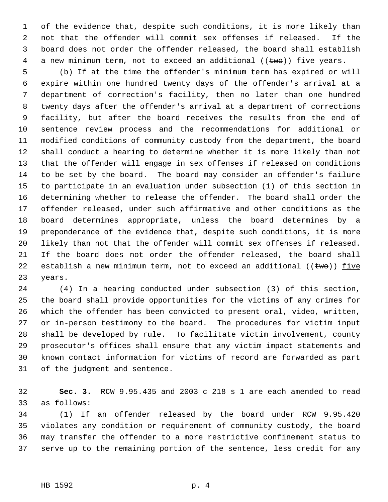of the evidence that, despite such conditions, it is more likely than not that the offender will commit sex offenses if released. If the board does not order the offender released, the board shall establish 4 a new minimum term, not to exceed an additional  $((two))$  five years.

 (b) If at the time the offender's minimum term has expired or will expire within one hundred twenty days of the offender's arrival at a department of correction's facility, then no later than one hundred twenty days after the offender's arrival at a department of corrections facility, but after the board receives the results from the end of sentence review process and the recommendations for additional or modified conditions of community custody from the department, the board shall conduct a hearing to determine whether it is more likely than not that the offender will engage in sex offenses if released on conditions to be set by the board. The board may consider an offender's failure to participate in an evaluation under subsection (1) of this section in determining whether to release the offender. The board shall order the offender released, under such affirmative and other conditions as the board determines appropriate, unless the board determines by a preponderance of the evidence that, despite such conditions, it is more likely than not that the offender will commit sex offenses if released. If the board does not order the offender released, the board shall 22 establish a new minimum term, not to exceed an additional  $((\text{two}))$  five years.

 (4) In a hearing conducted under subsection (3) of this section, the board shall provide opportunities for the victims of any crimes for which the offender has been convicted to present oral, video, written, or in-person testimony to the board. The procedures for victim input shall be developed by rule. To facilitate victim involvement, county prosecutor's offices shall ensure that any victim impact statements and known contact information for victims of record are forwarded as part of the judgment and sentence.

 **Sec. 3.** RCW 9.95.435 and 2003 c 218 s 1 are each amended to read as follows:

 (1) If an offender released by the board under RCW 9.95.420 violates any condition or requirement of community custody, the board may transfer the offender to a more restrictive confinement status to serve up to the remaining portion of the sentence, less credit for any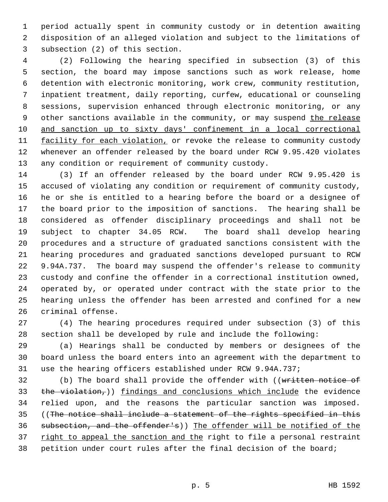period actually spent in community custody or in detention awaiting disposition of an alleged violation and subject to the limitations of subsection (2) of this section.

 (2) Following the hearing specified in subsection (3) of this section, the board may impose sanctions such as work release, home detention with electronic monitoring, work crew, community restitution, inpatient treatment, daily reporting, curfew, educational or counseling sessions, supervision enhanced through electronic monitoring, or any 9 other sanctions available in the community, or may suspend the release and sanction up to sixty days' confinement in a local correctional 11 facility for each violation, or revoke the release to community custody whenever an offender released by the board under RCW 9.95.420 violates any condition or requirement of community custody.

 (3) If an offender released by the board under RCW 9.95.420 is accused of violating any condition or requirement of community custody, he or she is entitled to a hearing before the board or a designee of the board prior to the imposition of sanctions. The hearing shall be considered as offender disciplinary proceedings and shall not be subject to chapter 34.05 RCW. The board shall develop hearing procedures and a structure of graduated sanctions consistent with the hearing procedures and graduated sanctions developed pursuant to RCW 9.94A.737. The board may suspend the offender's release to community custody and confine the offender in a correctional institution owned, operated by, or operated under contract with the state prior to the hearing unless the offender has been arrested and confined for a new criminal offense.

 (4) The hearing procedures required under subsection (3) of this section shall be developed by rule and include the following:

 (a) Hearings shall be conducted by members or designees of the board unless the board enters into an agreement with the department to use the hearing officers established under RCW 9.94A.737;

32 (b) The board shall provide the offender with ((written notice of 33 the violation,)) findings and conclusions which include the evidence relied upon, and the reasons the particular sanction was imposed. ((The notice shall include a statement of the rights specified in this subsection, and the offender's)) The offender will be notified of the 37 right to appeal the sanction and the right to file a personal restraint petition under court rules after the final decision of the board;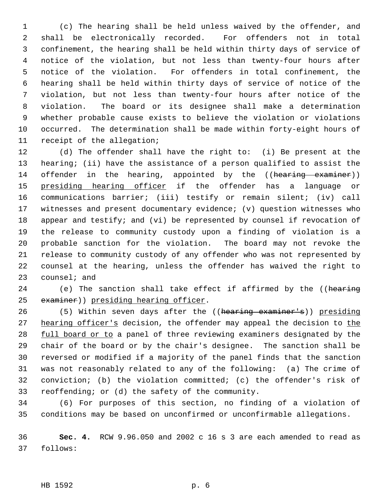(c) The hearing shall be held unless waived by the offender, and shall be electronically recorded. For offenders not in total confinement, the hearing shall be held within thirty days of service of notice of the violation, but not less than twenty-four hours after notice of the violation. For offenders in total confinement, the hearing shall be held within thirty days of service of notice of the violation, but not less than twenty-four hours after notice of the violation. The board or its designee shall make a determination whether probable cause exists to believe the violation or violations occurred. The determination shall be made within forty-eight hours of receipt of the allegation;

 (d) The offender shall have the right to: (i) Be present at the hearing; (ii) have the assistance of a person qualified to assist the 14 offender in the hearing, appointed by the ((hearing examiner)) 15 presiding hearing officer if the offender has a language or communications barrier; (iii) testify or remain silent; (iv) call witnesses and present documentary evidence; (v) question witnesses who appear and testify; and (vi) be represented by counsel if revocation of the release to community custody upon a finding of violation is a probable sanction for the violation. The board may not revoke the release to community custody of any offender who was not represented by counsel at the hearing, unless the offender has waived the right to counsel; and

24 (e) The sanction shall take effect if affirmed by the ((hearing 25 examiner)) presiding hearing officer.

26 (5) Within seven days after the ((hearing examiner's)) presiding 27 hearing officer's decision, the offender may appeal the decision to the 28 full board or to a panel of three reviewing examiners designated by the chair of the board or by the chair's designee. The sanction shall be reversed or modified if a majority of the panel finds that the sanction was not reasonably related to any of the following: (a) The crime of conviction; (b) the violation committed; (c) the offender's risk of reoffending; or (d) the safety of the community.

 (6) For purposes of this section, no finding of a violation of conditions may be based on unconfirmed or unconfirmable allegations.

 **Sec. 4.** RCW 9.96.050 and 2002 c 16 s 3 are each amended to read as follows: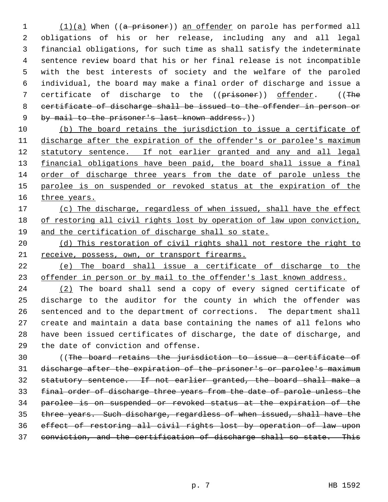1 (1)(a) When ((a prisoner)) an offender on parole has performed all obligations of his or her release, including any and all legal financial obligations, for such time as shall satisfy the indeterminate sentence review board that his or her final release is not incompatible with the best interests of society and the welfare of the paroled individual, the board may make a final order of discharge and issue a 7 certificate of discharge to the ((prisoner)) offender. ((The certificate of discharge shall be issued to the offender in person or 9 by mail to the prisoner's last known address.))

 (b) The board retains the jurisdiction to issue a certificate of 11 discharge after the expiration of the offender's or parolee's maximum 12 statutory sentence. If not earlier granted and any and all legal financial obligations have been paid, the board shall issue a final order of discharge three years from the date of parole unless the 15 parolee is on suspended or revoked status at the expiration of the 16 three years.

17 (c) The discharge, regardless of when issued, shall have the effect 18 of restoring all civil rights lost by operation of law upon conviction, and the certification of discharge shall so state.

20 (d) This restoration of civil rights shall not restore the right to 21 receive, possess, own, or transport firearms.

 (e) The board shall issue a certificate of discharge to the 23 offender in person or by mail to the offender's last known address.

 (2) The board shall send a copy of every signed certificate of discharge to the auditor for the county in which the offender was sentenced and to the department of corrections. The department shall create and maintain a data base containing the names of all felons who have been issued certificates of discharge, the date of discharge, and the date of conviction and offense.

 ((The board retains the jurisdiction to issue a certificate of discharge after the expiration of the prisoner's or parolee's maximum statutory sentence. If not earlier granted, the board shall make a final order of discharge three years from the date of parole unless the parolee is on suspended or revoked status at the expiration of the three years. Such discharge, regardless of when issued, shall have the effect of restoring all civil rights lost by operation of law upon conviction, and the certification of discharge shall so state. This